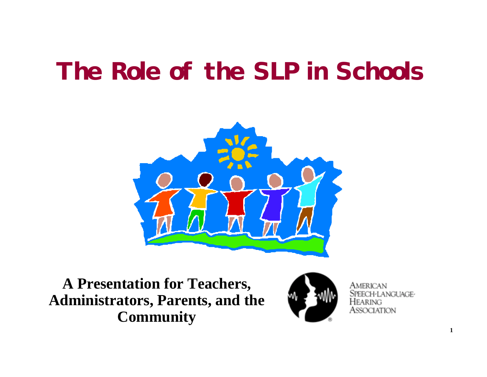# **The Role of the SLP in Schools**



**A Presentation for Teachers, Administrators, Parents, and the Community**



∕IFRICAN I-LANGUAGE-ASSOCIATION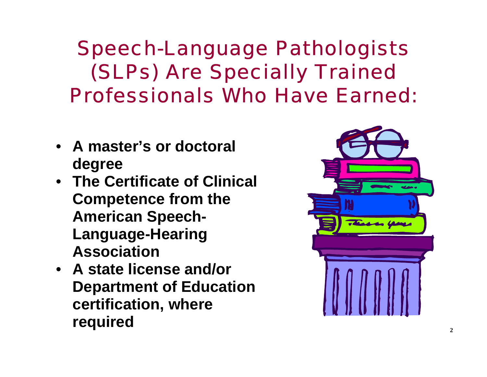Speech-Language Pathologists (SLPs) Are Specially Trained Professionals Who Have Earned:

- **A master's or doctoral degree**
- **The Certificate of Clinical Competence from the American Speech-Language-Hearing Association**
- **A state license and/or Department of Education certification, where required**

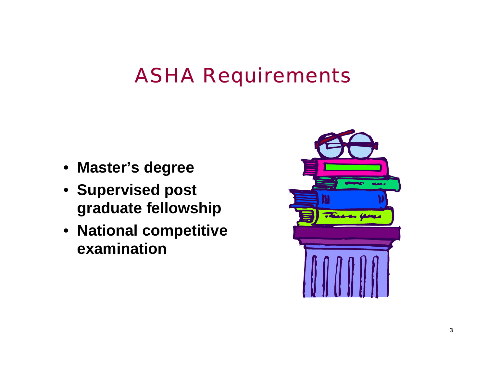#### ASHA Requirements

- **Master's degree**
- **Supervised post graduate fellowship**
- **National competitive examination**

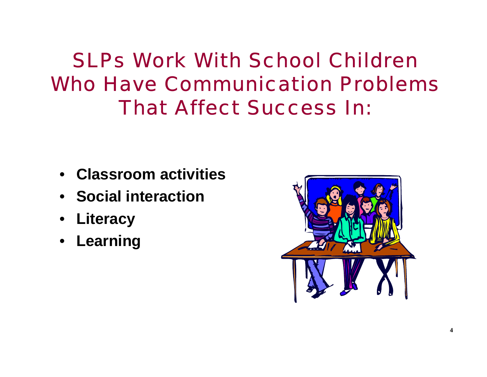## SLPs Work With School Children Who Have Communication Problems That Affect Success In:

- **Classroom activities**
- **Social interaction**
- **Literacy**
- **Learning**

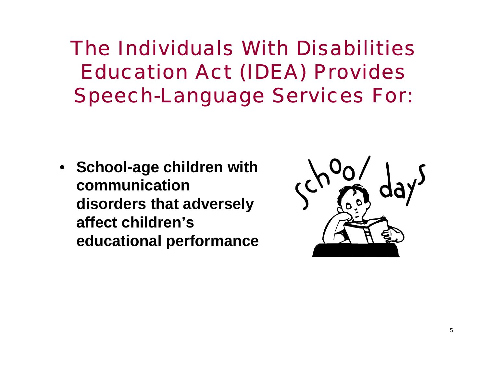The Individuals With Disabilities Education Act (IDEA) Provides Speech-Language Services For:

• **School-age children with communication disorders that adversely affect children's educational performance**

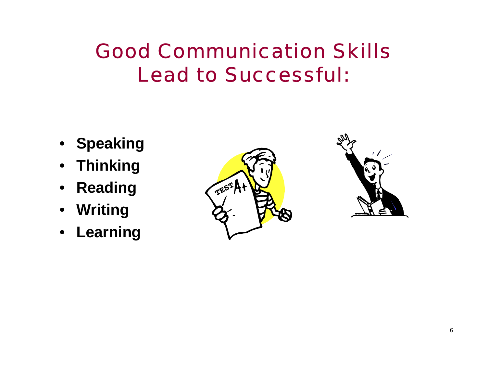# Good Communication Skills Lead to Successful:

- **Speaking**
- **Thinking**
- **Reading**
- **Writing**
- **Learning**



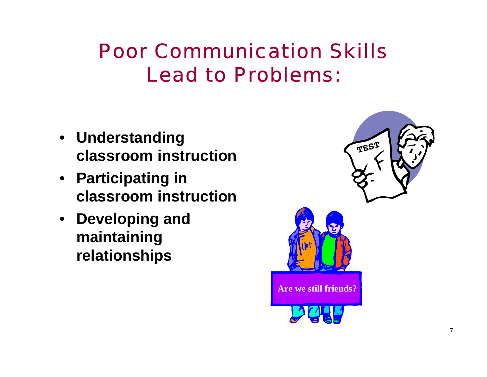# Poor Communication Skills Lead to Problems:

- **Understanding classroom instruction**
- **Participating in classroom instruction**
- **Developing and maintaining relationships**

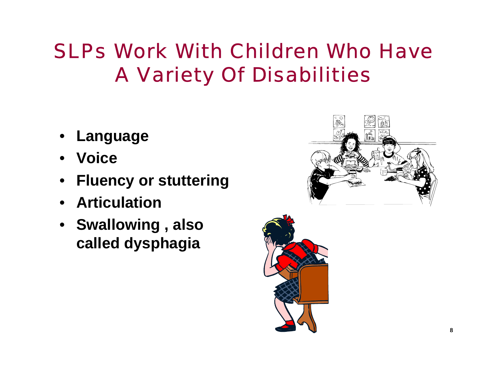# SLPs Work With Children Who Have A Variety Of Disabilities

- •**Language**
- **Voice**
- **Fluency or stuttering**
- **Articulation**
- **Swallowing , also called dysphagia**



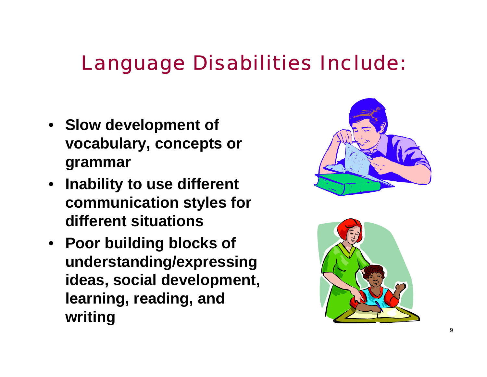#### Language Disabilities Include:

- **Slow development of vocabulary, concepts or grammar**
- **Inability to use different communication styles for different situations**
- **Poor building blocks of understanding/expressing ideas, social development, learning, reading, and writing**



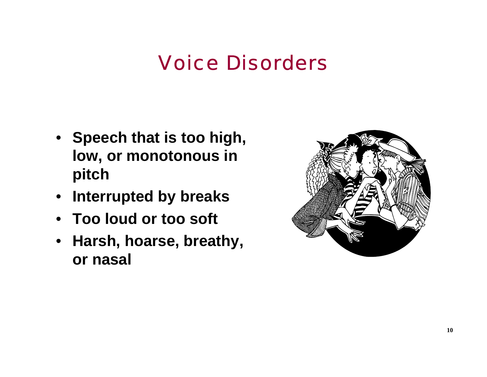#### Voice Disorders

- **Speech that is too high, low, or monotonous in pitch**
- **Interrupted by breaks**
- **Too loud or too soft**
- **Harsh, hoarse, breathy, or nasal**

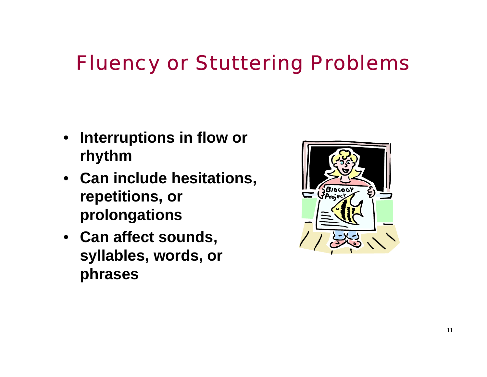# Fluency or Stuttering Problems

- **Interruptions in flow or rhythm**
- **Can include hesitations, repetitions, or prolongations**
- **Can affect sounds, syllables, words, or phrases**

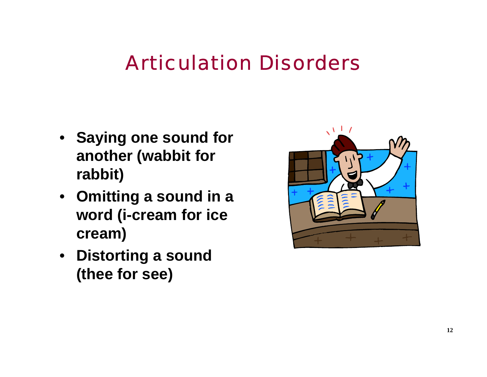### Articulation Disorders

- **Saying one sound for another (wabbit for rabbit)**
- **Omitting a sound in a word (i-cream for ice cream)**
- **Distorting a sound (thee for see)**

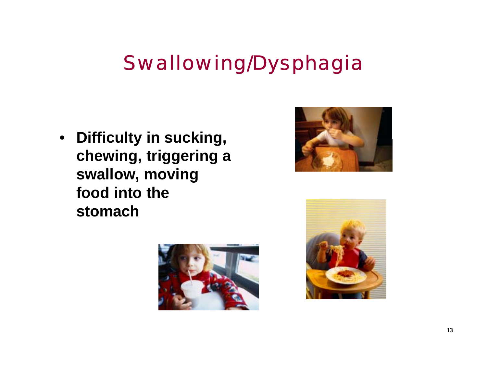# Swallowing/Dysphagia

• **Difficulty in sucking, chewing, triggering a swallow, moving food into the stomach** 





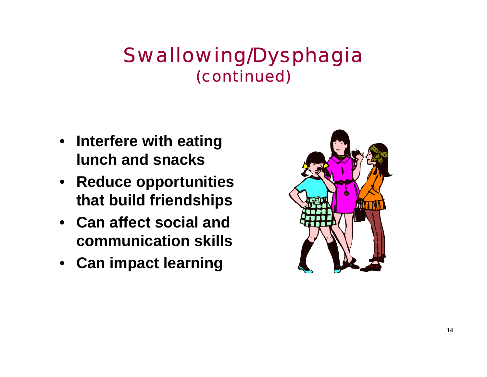#### Swallowing/Dysphagia (continued)

- **Interfere with eating lunch and snacks**
- **Reduce opportunities that build friendships**
- **Can affect social and communication skills**
- **Can impact learning**

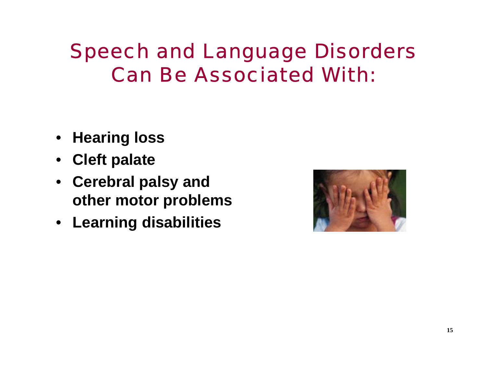### Speech and Language Disorders Can Be Associated With:

- **Hearing loss**
- $\bullet$ **Cleft palate**
- **Cerebral palsy and other motor problems**
- **Learning disabilities**

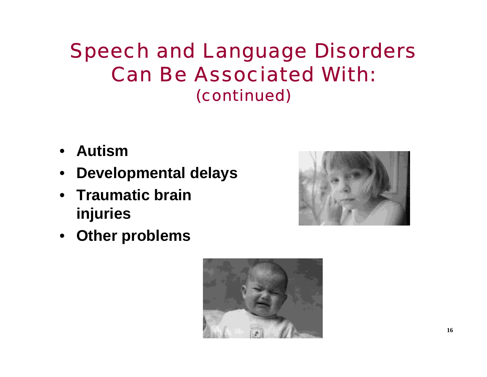#### Speech and Language Disorders Can Be Associated With:(continued)

- **Autism**
- **Developmental delays**
- **Traumatic brain injuries**



• **Other problems**

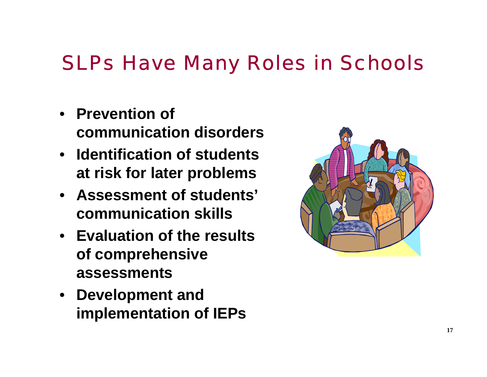#### SLPs Have Many Roles in Schools

- **Prevention of communication disorders**
- **Identification of students at risk for later problems**
- **Assessment of students' communication skills**
- **Evaluation of the results of comprehensive assessments**
- **Development and implementation of IEPs**

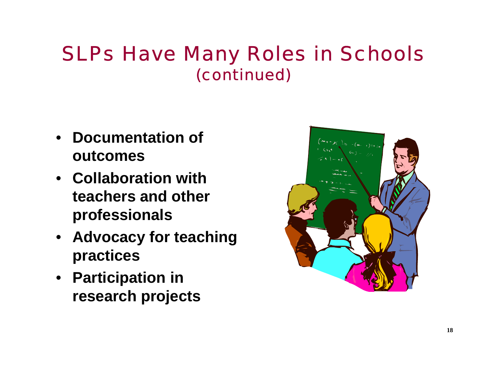#### SLPs Have Many Roles in Schools (continued)

- **Documentation of outcomes**
- **Collaboration with teachers and other professionals**
- **Advocacy for teaching practices**
- **Participation in research projects**

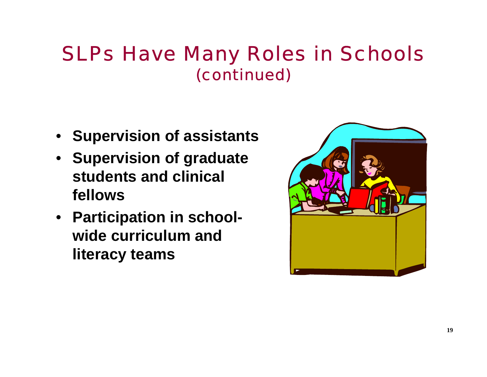#### SLPs Have Many Roles in Schools (continued)

- **Supervision of assistants**
- **Supervision of graduate students and clinical fellows**
- **Participation in schoolwide curriculum and literacy teams**

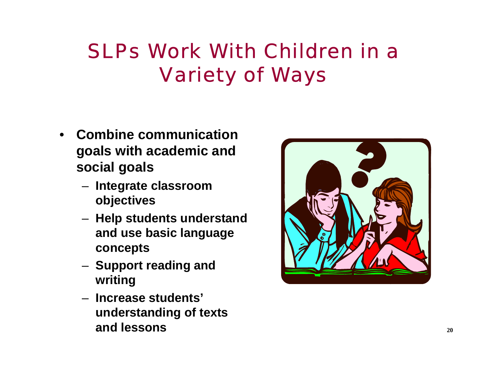# SLPs Work With Children in a Variety of Ways

- **Combine communication goals with academic and social goals**
	- **Integrate classroom objectives**
	- **Help students understand and use basic language concepts**
	- **Support reading and writing**
	- **Increase students' understanding of texts and lessons**

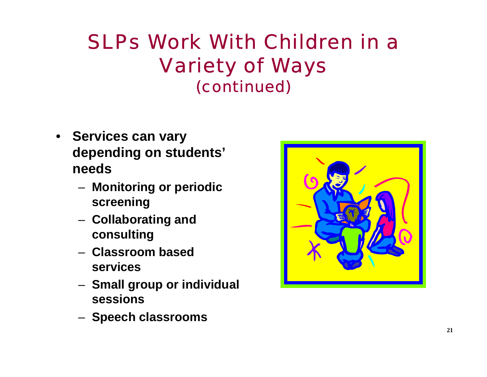#### SLPs Work With Children in a Variety of Ways (continued)

- **Services can vary depending on students' needs**
	- **Monitoring or periodic screening**
	- **Collaborating and consulting**
	- **Classroom based services**
	- **Small group or individual sessions**
	- **Speech classrooms**

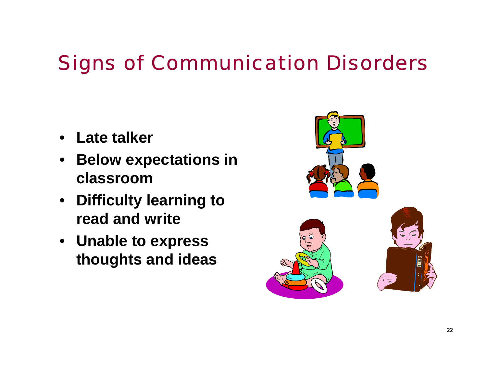# Signs of Communication Disorders

- **Late talker**
- $\bullet$  **Below expectations in classroom**
- **Difficulty learning to read and write**
- **Unable to express thoughts and ideas**

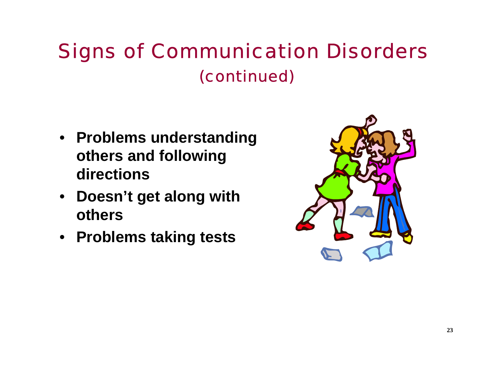### Signs of Communication Disorders (continued)

- **Problems understanding others and following directions**
- **Doesn't get along with others**
- **Problems taking tests**

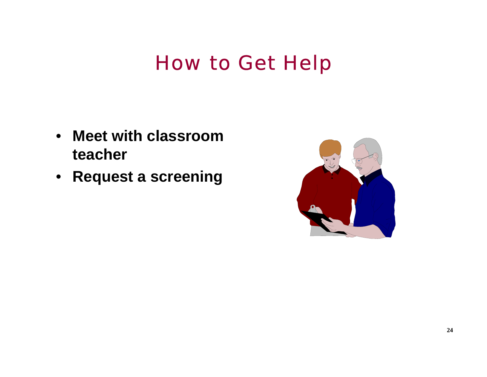### How to Get Help

- **Meet with classroom teacher**
- **Request a screening**

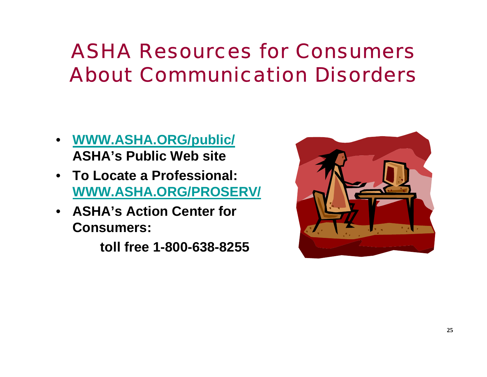# ASHA Resources for Consumers About Communication Disorders

- **WWW.ASHA.ORG/public/ ASHA's Public Web site**
- **To Locate a Professional: WWW.ASHA.ORG/PROSERV/**
- **ASHA's Action Center for Consumers:**

**toll free 1-800-638-8255**

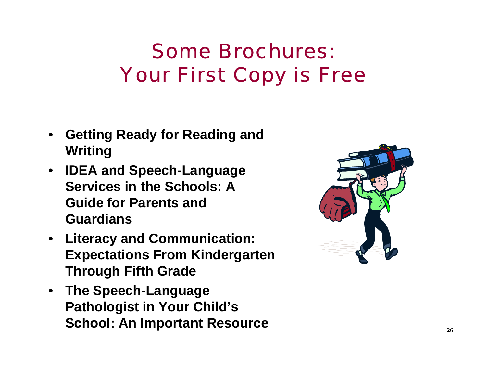# Some Brochures: Your First Copy is Free

- **Getting Ready for Reading and Writing**
- **IDEA and Speech-Language Services in the Schools: A Guide for Parents and Guardians**
- **Literacy and Communication: Expectations From Kindergarten Through Fifth Grade**
- **The Speech-Language Pathologist in Your Child's School: An Important Resource**

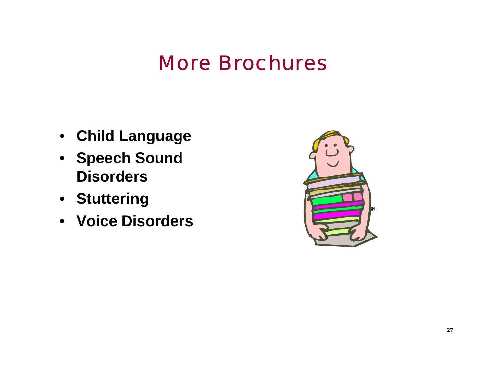#### More Brochures

- **Child Language**
- **Speech Sound Disorders**
- **Stuttering**
- **Voice Disorders**

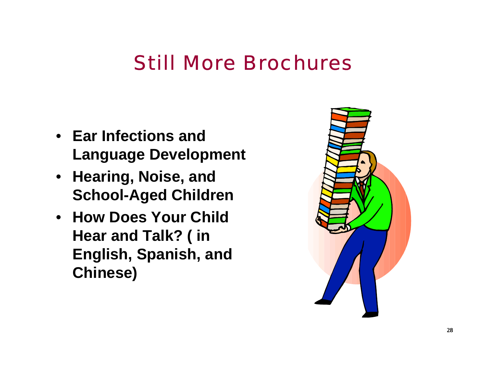#### Still More Brochures

- **Ear Infections and Language Development**
- **Hearing, Noise, and School-Aged Children**
- **How Does Your Child Hear and Talk? ( in English, Spanish, and Chinese)**